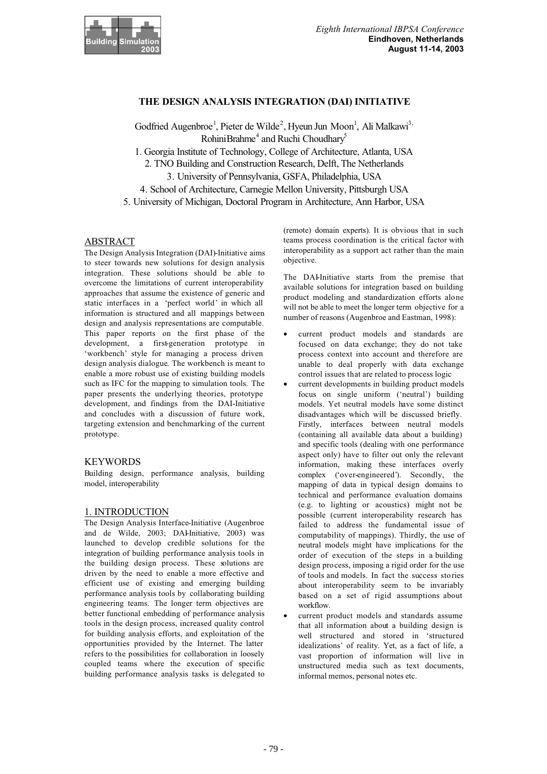

# **THE DESIGN ANALYSIS INTEGRATION (DAI) INITIATIVE**

Godfried Augenbroe<sup>1</sup>, Pieter de Wilde<sup>2</sup>, Hyeun Jun Moon<sup>1</sup>, Ali Malkawi<sup>3,</sup> RohiniBrahme<sup>4</sup> and Ruchi Choudhary<sup>5</sup>

1. Georgia Institute of Technology, College of Architecture, Atlanta, USA

2. TNO Building and Construction Research, Delft, The Netherlands

3. University of Pennsylvania, GSFA, Philadelphia, USA

4. School of Architecture, Carnegie Mellon University, Pittsburgh USA

5. University of Michigan, Doctoral Program in Architecture, Ann Harbor, USA

# ABSTRACT

The Design Analysis Integration (DAI)-Initiative aims to steer towards new solutions for design analysis integration. These solutions should be able to overcome the limitations of current interoperability approaches that assume the existence of generic and static interfaces in a 'perfect world' in which all information is structured and all mappings between design and analysis representations are computable. This paper reports on the first phase of the development, a first-generation prototype in 'workbench' style for managing a process driven design analysis dialogue. The workbench is meant to enable a more robust use of existing building models such as IFC for the mapping to simulation tools. The paper presents the underlying theories, prototype development, and findings from the DAI-Initiative and concludes with a discussion of future work, targeting extension and benchmarking of the current prototype.

# **KEYWORDS**

Building design, performance analysis, building model, interoperability

# 1. INTRODUCTION

The Design Analysis Interface-Initiative (Augenbroe and de Wilde, 2003; DAI-Initiative, 2003) was launched to develop credible solutions for the integration of building performance analysis tools in the building design process. These solutions are driven by the need to enable a more effective and efficient use of existing and emerging building performance analysis tools by collaborating building engineering teams. The longer term objectives are better functional embedding of performance analysis tools in the design process, increased quality control for building analysis efforts, and exploitation of the opportunities provided by the Internet. The latter refers to the possibilities for collaboration in loosely coupled teams where the execution of specific building performance analysis tasks is delegated to (remote) domain experts). It is obvious that in such teams process coordination is the critical factor with interoperability as a support act rather than the main objective.

The DAI-Initiative starts from the premise that available solutions for integration based on building product modeling and standardization efforts alone will not be able to meet the longer term objective for a number of reasons (Augenbroe and Eastman, 1998):

- current product models and standards are focused on data exchange; they do not take process context into account and therefore are unable to deal properly with data exchange control issues that are related to process logic
- current developments in building product models focus on single uniform ('neutral') building models. Yet neutral models have some distinct disadvantages which will be discussed briefly. Firstly, interfaces between neutral models (containing all available data about a building) and specific tools (dealing with one performance aspect only) have to filter out only the relevant information, making these interfaces overly complex ('over-engineered'). Secondly, the mapping of data in typical design domains to technical and performance evaluation domains (e.g. to lighting or acoustics) might not be possible (current interoperability research has failed to address the fundamental issue of computability of mappings). Thirdly, the use of neutral models might have implications for the order of execution of the steps in a building design process, imposing a rigid order for the use of tools and models. In fact the success stories about interoperability seem to be invariably based on a set of rigid assumptions about workflow.
- current product models and standards assume that all information about a building design is well structured and stored in 'structured idealizations' of reality. Yet, as a fact of life, a vast proportion of information will live in unstructured media such as text documents, informal memos, personal notes etc.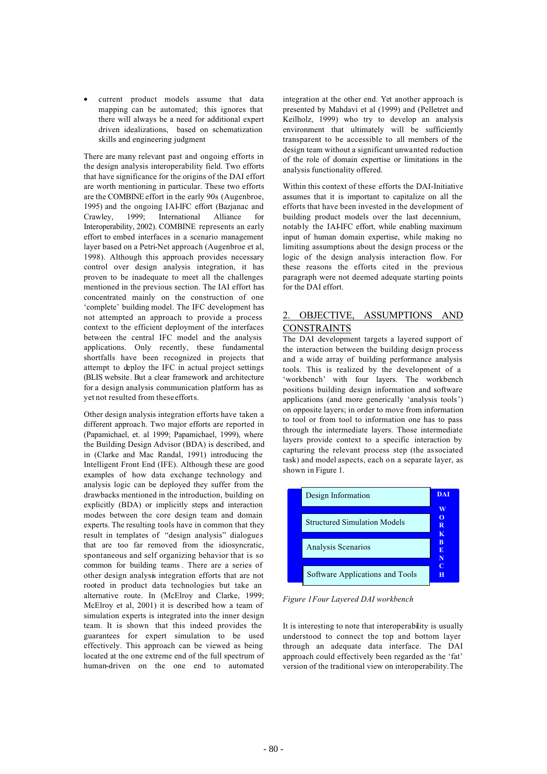• current product models assume that data mapping can be automated; this ignores that there will always be a need for additional expert driven idealizations, based on schematization skills and engineering judgment

There are many relevant past and ongoing efforts in the design analysis interoperability field. Two efforts that have significance for the origins of the DAI effort are worth mentioning in particular. These two efforts are the COMBINE effort in the early 90s (Augenbroe, 1995) and the ongoing IAI-IFC effort (Bazjanac and Crawley, 1999; International Alliance for Interoperability, 2002). COMBINE represents an early effort to embed interfaces in a scenario management layer based on a Petri-Net approach (Augenbroe et al, 1998). Although this approach provides necessary control over design analysis integration, it has proven to be inadequate to meet all the challenges mentioned in the previous section. The IAI effort has concentrated mainly on the construction of one 'complete' building model. The IFC development has not attempted an approach to provide a process context to the efficient deployment of the interfaces between the central IFC model and the analysis applications. Only recently, these fundamental shortfalls have been recognized in projects that attempt to deploy the IFC in actual project settings (BLIS website. But a clear framework and architecture for a design analysis communication platform has as yet not resulted from these efforts.

Other design analysis integration efforts have taken a different approach. Two major efforts are reported in (Papamichael, et. al 1999; Papamichael, 1999), where the Building Design Advisor (BDA) is described, and in (Clarke and Mac Randal, 1991) introducing the Intelligent Front End (IFE). Although these are good examples of how data exchange technology and analysis logic can be deployed they suffer from the drawbacks mentioned in the introduction, building on explicitly (BDA) or implicitly steps and interaction modes between the core design team and domain experts. The resulting tools have in common that they result in templates of "design analysis" dialogues that are too far removed from the idiosyncratic, spontaneous and self organizing behavior that is so common for building teams . There are a series of other design analysis integration efforts that are not rooted in product data technologies but take an alternative route. In (McElroy and Clarke, 1999; McElroy et al, 2001) it is described how a team of simulation experts is integrated into the inner design team. It is shown that this indeed provides the guarantees for expert simulation to be used effectively. This approach can be viewed as being located at the one extreme end of the full spectrum of human-driven on the one end to automated

integration at the other end. Yet another approach is presented by Mahdavi et al (1999) and (Pelletret and Keilholz, 1999) who try to develop an analysis environment that ultimately will be sufficiently transparent to be accessible to all members of the design team without a significant unwanted reduction of the role of domain expertise or limitations in the analysis functionality offered.

Within this context of these efforts the DAI-Initiative assumes that it is important to capitalize on all the efforts that have been invested in the development of building product models over the last decennium, notably the IAI-IFC effort, while enabling maximum input of human domain expertise, while making no limiting assumptions about the design process or the logic of the design analysis interaction flow. For these reasons the efforts cited in the previous paragraph were not deemed adequate starting points for the DAI effort.

# 2. OBJECTIVE, ASSUMPTIONS AND **CONSTRAINTS**

The DAI development targets a layered support of the interaction between the building design process and a wide array of building performance analysis tools. This is realized by the development of a 'workbench' with four layers. The workbench positions building design information and software applications (and more generically 'analysis tools') on opposite layers; in order to move from information to tool or from tool to information one has to pass through the intermediate layers. Those intermediate layers provide context to a specific interaction by capturing the relevant process step (the associated task) and model aspects, each on a separate layer, as shown in Figure 1.



*Figure 1Four Layered DAI workbench*

It is interesting to note that interoperability is usually understood to connect the top and bottom layer through an adequate data interface. The DAI approach could effectively been regarded as the 'fat' version of the traditional view on interoperability.The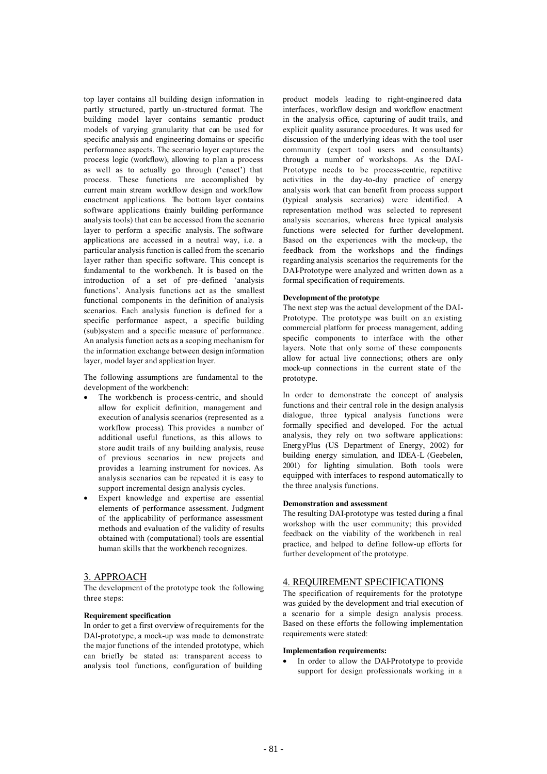top layer contains all building design information in partly structured, partly un-structured format. The building model layer contains semantic product models of varying granularity that can be used for specific analysis and engineering domains or specific performance aspects. The scenario layer captures the process logic (workflow), allowing to plan a process as well as to actually go through ('enact') that process. These functions are accomplished by current main stream workflow design and workflow enactment applications. The bottom layer contains software applications (mainly building performance analysis tools) that can be accessed from the scenario layer to perform a specific analysis. The software applications are accessed in a neutral way, i.e. a particular analysis function is called from the scenario layer rather than specific software. This concept is fundamental to the workbench. It is based on the introduction of a set of pre -defined 'analysis functions'. Analysis functions act as the smallest functional components in the definition of analysis scenarios. Each analysis function is defined for a specific performance aspect, a specific building (sub)system and a specific measure of performance. An analysis function acts as a scoping mechanism for the information exchange between design information layer, model layer and application layer.

The following assumptions are fundamental to the development of the workbench:

- The workbench is process-centric, and should allow for explicit definition, management and execution of analysis scenarios (represented as a workflow process). This provides a number of additional useful functions, as this allows to store audit trails of any building analysis, reuse of previous scenarios in new projects and provides a learning instrument for novices. As analysis scenarios can be repeated it is easy to support incremental design analysis cycles.
- Expert knowledge and expertise are essential elements of performance assessment. Judgment of the applicability of performance assessment methods and evaluation of the validity of results obtained with (computational) tools are essential human skills that the workbench recognizes.

# 3. APPROACH

The development of the prototype took the following three steps:

### **Requirement specification**

In order to get a first overview of requirements for the DAI-prototype, a mock-up was made to demonstrate the major functions of the intended prototype, which can briefly be stated as: transparent access to analysis tool functions, configuration of building

product models leading to right-engineered data interfaces, workflow design and workflow enactment in the analysis office, capturing of audit trails, and explicit quality assurance procedures. It was used for discussion of the underlying ideas with the tool user community (expert tool users and consultants) through a number of workshops. As the DAI-Prototype needs to be process-centric, repetitive activities in the day-to-day practice of energy analysis work that can benefit from process support (typical analysis scenarios) were identified. A representation method was selected to represent analysis scenarios, whereas three typical analysis functions were selected for further development. Based on the experiences with the mock-up, the feedback from the workshops and the findings regarding analysis scenarios the requirements for the DAI-Prototype were analyzed and written down as a formal specification of requirements.

### **Development of the prototype**

The next step was the actual development of the DAI-Prototype. The prototype was built on an existing commercial platform for process management, adding specific components to interface with the other layers. Note that only some of these components allow for actual live connections; others are only mock-up connections in the current state of the prototype.

In order to demonstrate the concept of analysis functions and their central role in the design analysis dialogue, three typical analysis functions were formally specified and developed. For the actual analysis, they rely on two software applications: Energ yPlus (US Department of Energy, 2002) for building energy simulation, and IDEA-L (Geebelen, 2001) for lighting simulation. Both tools were equipped with interfaces to respond automatically to the three analysis functions.

### **Demonstration and assessment**

The resulting DAI-prototype was tested during a final workshop with the user community; this provided feedback on the viability of the workbench in real practice, and helped to define follow-up efforts for further development of the prototype.

## 4. REQUIREMENT SPECIFICATIONS

The specification of requirements for the prototype was guided by the development and trial execution of a scenario for a simple design analysis process. Based on these efforts the following implementation requirements were stated:

#### **Implementation requirements:**

In order to allow the DAI-Prototype to provide support for design professionals working in a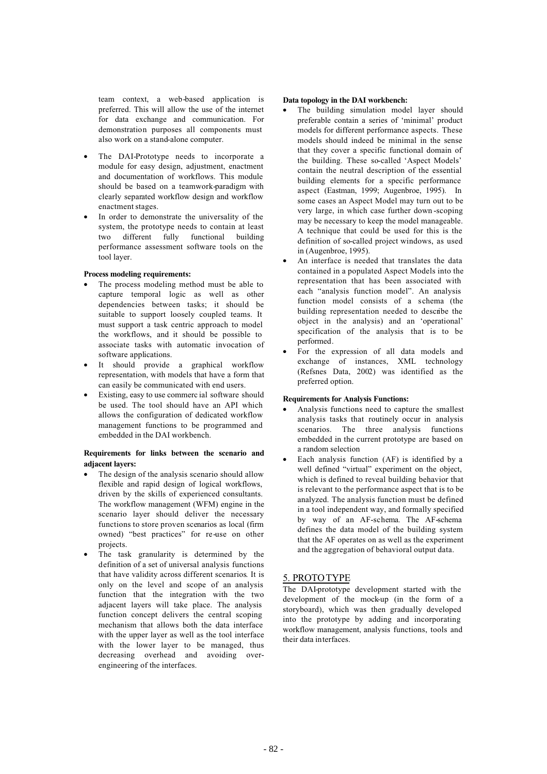team context, a web-based application is preferred. This will allow the use of the internet for data exchange and communication. For demonstration purposes all components must also work on a stand-alone computer.

- The DAI-Prototype needs to incorporate a module for easy design, adjustment, enactment and documentation of workflows. This module should be based on a teamwork-paradigm with clearly separated workflow design and workflow enactment stages.
- In order to demonstrate the universality of the system, the prototype needs to contain at least two different fully functional building performance assessment software tools on the tool layer.

### **Process modeling requirements:**

- The process modeling method must be able to capture temporal logic as well as other dependencies between tasks; it should be suitable to support loosely coupled teams. It must support a task centric approach to model the workflows, and it should be possible to associate tasks with automatic invocation of software applications.
- It should provide a graphical workflow representation, with models that have a form that can easily be communicated with end users.
- Existing, easy to use commerc ial software should be used. The tool should have an API which allows the configuration of dedicated workflow management functions to be programmed and embedded in the DAI workbench.

### **Requirements for links between the scenario and adjacent layers:**

- The design of the analysis scenario should allow flexible and rapid design of logical workflows, driven by the skills of experienced consultants. The workflow management (WFM) engine in the scenario layer should deliver the necessary functions to store proven scenarios as local (firm owned) "best practices" for re-use on other projects.
- The task granularity is determined by the definition of a set of universal analysis functions that have validity across different scenarios. It is only on the level and scope of an analysis function that the integration with the two adjacent layers will take place. The analysis function concept delivers the central scoping mechanism that allows both the data interface with the upper layer as well as the tool interface with the lower layer to be managed, thus decreasing overhead and avoiding overengineering of the interfaces.

# **Data topology in the DAI workbench:**

- The building simulation model layer should preferable contain a series of 'minimal' product models for different performance aspects. These models should indeed be minimal in the sense that they cover a specific functional domain of the building. These so-called 'Aspect Models' contain the neutral description of the essential building elements for a specific performance aspect (Eastman, 1999; Augenbroe, 1995). In some cases an Aspect Model may turn out to be very large, in which case further down -scoping may be necessary to keep the model manageable. A technique that could be used for this is the definition of so-called project windows, as used in (Augenbroe, 1995).
- An interface is needed that translates the data contained in a populated Aspect Models into the representation that has been associated with each "analysis function model". An analysis function model consists of a schema (the building representation needed to describe the object in the analysis) and an 'operational' specification of the analysis that is to be performed.
- For the expression of all data models and exchange of instances, XML technology (Refsnes Data, 2002) was identified as the preferred option.

# **Requirements for Analysis Functions:**

- Analysis functions need to capture the smallest analysis tasks that routinely occur in analysis scenarios. The three analysis functions embedded in the current prototype are based on a random selection
- Each analysis function (AF) is identified by a well defined "virtual" experiment on the object, which is defined to reveal building behavior that is relevant to the performance aspect that is to be analyzed. The analysis function must be defined in a tool independent way, and formally specified by way of an AF-schema. The AF-schema defines the data model of the building system that the AF operates on as well as the experiment and the aggregation of behavioral output data.

# 5. PROTOTYPE

The DAI-prototype development started with the development of the mock-up (in the form of a storyboard), which was then gradually developed into the prototype by adding and incorporating workflow management, analysis functions, tools and their data interfaces.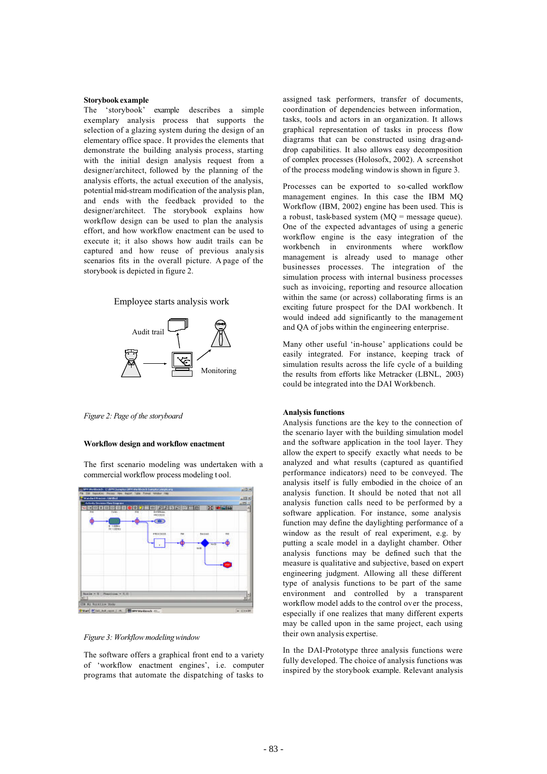#### **Storybook example**

The 'storybook' example describes a simple exemplary analysis process that supports the selection of a glazing system during the design of an elementary office space. It provides the elements that demonstrate the building analysis process, starting with the initial design analysis request from a designer/architect, followed by the planning of the analysis efforts, the actual execution of the analysis, potential mid-stream modification of the analysis plan, and ends with the feedback provided to the designer/architect. The storybook explains how workflow design can be used to plan the analysis effort, and how workflow enactment can be used to execute it; it also shows how audit trails can be captured and how reuse of previous analysis scenarios fits in the overall picture. A page of the storybook is depicted in figure 2.

#### Employee starts analysis work



*Figure 2: Page of the storyboard*

#### **Workflow design and workflow enactment**

The first scenario modeling was undertaken with a commercial workflow process modeling t ool.



#### *Figure 3: Workflow modeling window*

The software offers a graphical front end to a variety of 'workflow enactment engines', i.e. computer programs that automate the dispatching of tasks to

assigned task performers, transfer of documents, coordination of dependencies between information, tasks, tools and actors in an organization. It allows graphical representation of tasks in process flow diagrams that can be constructed using drag-anddrop capabilities. It also allows easy decomposition of complex processes (Holosofx, 2002). A screenshot of the process modeling window is shown in figure 3.

Processes can be exported to so-called workflow management engines. In this case the IBM MQ Workflow (IBM, 2002) engine has been used. This is a robust, task-based system (MQ = message queue). One of the expected advantages of using a generic workflow engine is the easy integration of the workbench in environments where workflow management is already used to manage other businesses processes. The integration of the simulation process with internal business processes such as invoicing, reporting and resource allocation within the same (or across) collaborating firms is an exciting future prospect for the DAI workbench. It would indeed add significantly to the management and QA of jobs within the engineering enterprise.

Many other useful 'in-house' applications could be easily integrated. For instance, keeping track of simulation results across the life cycle of a building the results from efforts like Metracker (LBNL, 2003) could be integrated into the DAI Workbench.

#### **Analysis functions**

Analysis functions are the key to the connection of the scenario layer with the building simulation model and the software application in the tool layer. They allow the expert to specify exactly what needs to be analyzed and what results (captured as quantified performance indicators) need to be conveyed. The analysis itself is fully embodied in the choice of an analysis function. It should be noted that not all analysis function calls need to be performed by a software application. For instance, some analysis function may define the daylighting performance of a window as the result of real experiment, e.g. by putting a scale model in a daylight chamber. Other analysis functions may be defined such that the measure is qualitative and subjective, based on expert engineering judgment. Allowing all these different type of analysis functions to be part of the same environment and controlled by a transparent workflow model adds to the control over the process, especially if one realizes that many different experts may be called upon in the same project, each using their own analysis expertise.

In the DAI-Prototype three analysis functions were fully developed. The choice of analysis functions was inspired by the storybook example. Relevant analysis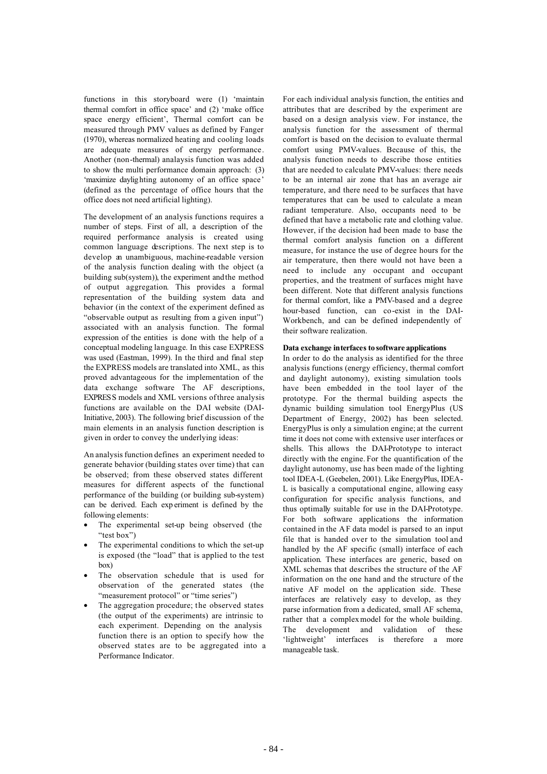functions in this storyboard were (1) 'maintain thermal comfort in office space' and (2) 'make office space energy efficient', Thermal comfort can be measured through PMV values as defined by Fanger (1970), whereas normalized heating and cooling loads are adequate measures of energy performance. Another (non-thermal) analaysis function was added to show the multi performance domain approach: (3) 'maximize daylighting autonomy of an office space' (defined as the percentage of office hours that the office does not need artificial lighting).

The development of an analysis functions requires a number of steps. First of all, a description of the required performance analysis is created using common language descriptions. The next step is to develop an unambiguous, machine-readable version of the analysis function dealing with the object (a building sub(system)), the experiment and the method of output aggregation. This provides a formal representation of the building system data and behavior (in the context of the experiment defined as "observable output as resulting from a given input") associated with an analysis function. The formal expression of the entities is done with the help of a conceptual modeling language. In this case EXPRESS was used (Eastman, 1999). In the third and final step the EXPRESS models are translated into XML, as this proved advantageous for the implementation of the data exchange software The AF descriptions, EXPRESS models and XML versions of three analysis functions are available on the DAI website (DAI-Initiative, 2003). The following brief discussion of the main elements in an analysis function description is given in order to convey the underlying ideas:

An analysis function defines an experiment needed to generate behavior (building states over time) that can be observed; from these observed states different measures for different aspects of the functional performance of the building (or building sub-system) can be derived. Each exp eriment is defined by the following elements:

- The experimental set-up being observed (the "test box")
- The experimental conditions to which the set-up is exposed (the "load" that is applied to the test box)
- The observation schedule that is used for observation of the generated states (the "measurement protocol" or "time series")
- The aggregation procedure; the observed states (the output of the experiments) are intrinsic to each experiment. Depending on the analysis function there is an option to specify how the observed states are to be aggregated into a Performance Indicator.

For each individual analysis function, the entities and attributes that are described by the experiment are based on a design analysis view. For instance, the analysis function for the assessment of thermal comfort is based on the decision to evaluate thermal comfort using PMV-values. Because of this, the analysis function needs to describe those entities that are needed to calculate PMV-values: there needs to be an internal air zone that has an average air temperature, and there need to be surfaces that have temperatures that can be used to calculate a mean radiant temperature. Also, occupants need to be defined that have a metabolic rate and clothing value. However, if the decision had been made to base the thermal comfort analysis function on a different measure, for instance the use of degree hours for the air temperature, then there would not have been a need to include any occupant and occupant properties, and the treatment of surfaces might have been different. Note that different analysis functions for thermal comfort, like a PMV-based and a degree hour-based function, can co-exist in the DAI-Workbench, and can be defined independently of their software realization.

### **Data exchange interfaces to software applications**

In order to do the analysis as identified for the three analysis functions (energy efficiency, thermal comfort and daylight autonomy), existing simulation tools have been embedded in the tool layer of the prototype. For the thermal building aspects the dynamic building simulation tool EnergyPlus (US Department of Energy, 2002) has been selected. EnergyPlus is only a simulation engine; at the current time it does not come with extensive user interfaces or shells. This allows the DAI-Prototype to interact directly with the engine. For the quantification of the daylight autonomy, use has been made of the lighting tool IDEA-L (Geebelen, 2001). Like EnergyPlus, IDEA-L is basically a computational engine, allowing easy configuration for specific analysis functions, and thus optimally suitable for use in the DAI-Prototype. For both software applications the information contained in the AF data model is parsed to an input file that is handed over to the simulation tool and handled by the AF specific (small) interface of each application. These interfaces are generic, based on XML schemas that describes the structure of the AF information on the one hand and the structure of the native AF model on the application side. These interfaces are relatively easy to develop, as they parse information from a dedicated, small AF schema, rather that a complex model for the whole building. The development and validation of these 'lightweight' interfaces is therefore a more manageable task.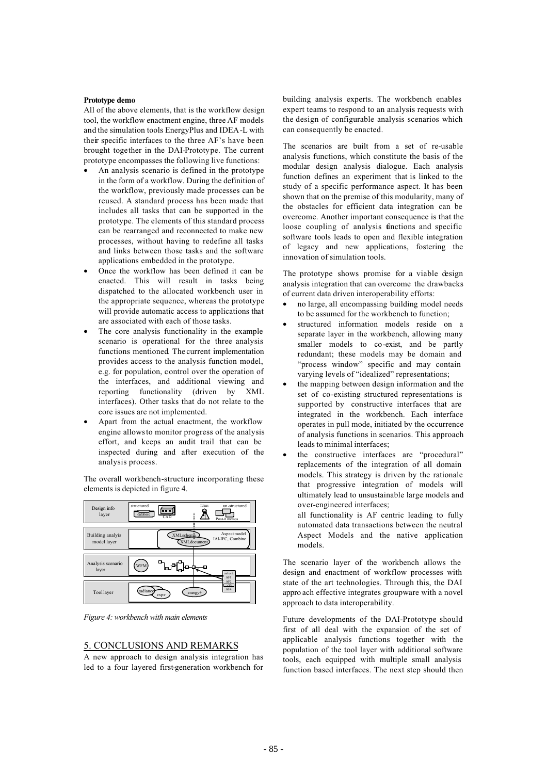#### **Prototype demo**

All of the above elements, that is the workflow design tool, the workflow enactment engine, three AF models and the simulation tools EnergyPlus and IDEA-L with their specific interfaces to the three AF's have been brought together in the DAI-Prototype. The current prototype encompasses the following live functions:

- An analysis scenario is defined in the prototype in the form of a workflow. During the definition of the workflow, previously made processes can be reused. A standard process has been made that includes all tasks that can be supported in the prototype. The elements of this standard process can be rearranged and reconnected to make new processes, without having to redefine all tasks and links between those tasks and the software applications embedded in the prototype.
- Once the workflow has been defined it can be enacted. This will result in tasks being dispatched to the allocated workbench user in the appropriate sequence, whereas the prototype will provide automatic access to applications that are associated with each of those tasks.
- The core analysis functionality in the example scenario is operational for the three analysis functions mentioned. The current implementation provides access to the analysis function model, e.g. for population, control over the operation of the interfaces, and additional viewing and reporting functionality (driven by XML interfaces). Other tasks that do not relate to the core issues are not implemented.
- Apart from the actual enactment, the workflow engine allows to monitor progress of the analysis effort, and keeps an audit trail that can be inspected during and after execution of the analysis process.

The overall workbench-structure incorporating these elements is depicted in figure 4.



*Figure 4: workbench with main elements*

## 5. CONCLUSIONS AND REMARKS

A new approach to design analysis integration has led to a four layered first-generation workbench for building analysis experts. The workbench enables expert teams to respond to an analysis requests with the design of configurable analysis scenarios which can consequently be enacted.

The scenarios are built from a set of re-usable analysis functions, which constitute the basis of the modular design analysis dialogue. Each analysis function defines an experiment that is linked to the study of a specific performance aspect. It has been shown that on the premise of this modularity, many of the obstacles for efficient data integration can be overcome. Another important consequence is that the loose coupling of analysis finctions and specific software tools leads to open and flexible integration of legacy and new applications, fostering the innovation of simulation tools.

The prototype shows promise for a viable design analysis integration that can overcome the drawbacks of current data driven interoperability efforts:

- no large, all encompassing building model needs to be assumed for the workbench to function;
- structured information models reside on a separate layer in the workbench, allowing many smaller models to co-exist, and be partly redundant; these models may be domain and "process window" specific and may contain varying levels of "idealized" representations;
- the mapping between design information and the set of co-existing structured representations is supported by constructive interfaces that are integrated in the workbench. Each interface operates in pull mode, initiated by the occurrence of analysis functions in scenarios. This approach leads to minimal interfaces;
- the constructive interfaces are "procedural" replacements of the integration of all domain models. This strategy is driven by the rationale that progressive integration of models will ultimately lead to unsustainable large models and over-engineered interfaces;

all functionality is AF centric leading to fully automated data transactions between the neutral Aspect Models and the native application models.

The scenario layer of the workbench allows the design and enactment of workflow processes with state of the art technologies. Through this, the DAI appro ach effective integrates groupware with a novel approach to data interoperability.

Future developments of the DAI-Prototype should first of all deal with the expansion of the set of applicable analysis functions together with the population of the tool layer with additional software tools, each equipped with multiple small analysis function based interfaces. The next step should then